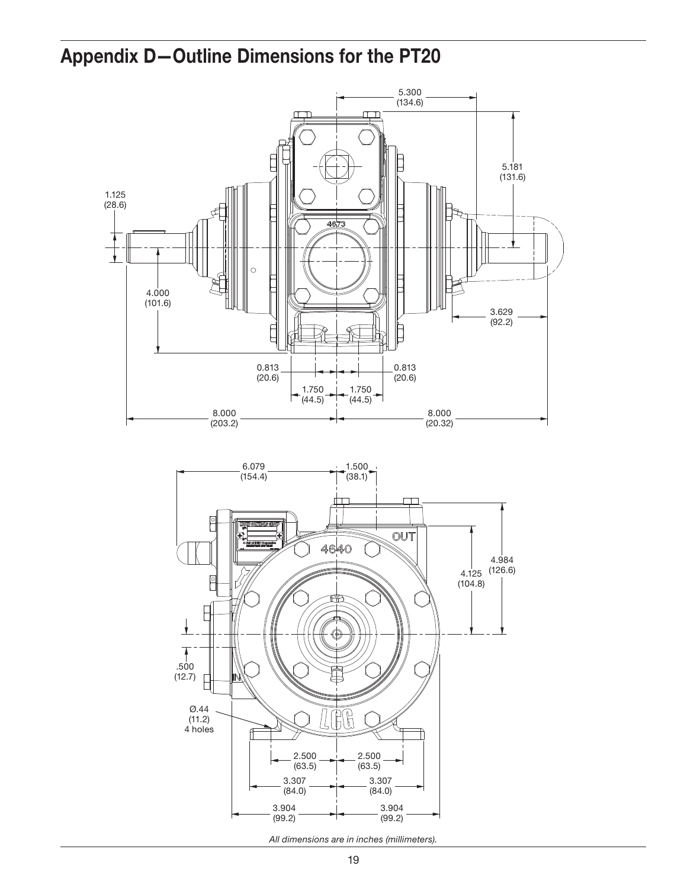## Appendix D—Outline Dimensions for the PT20



*All dimensions are in inches (millimeters).*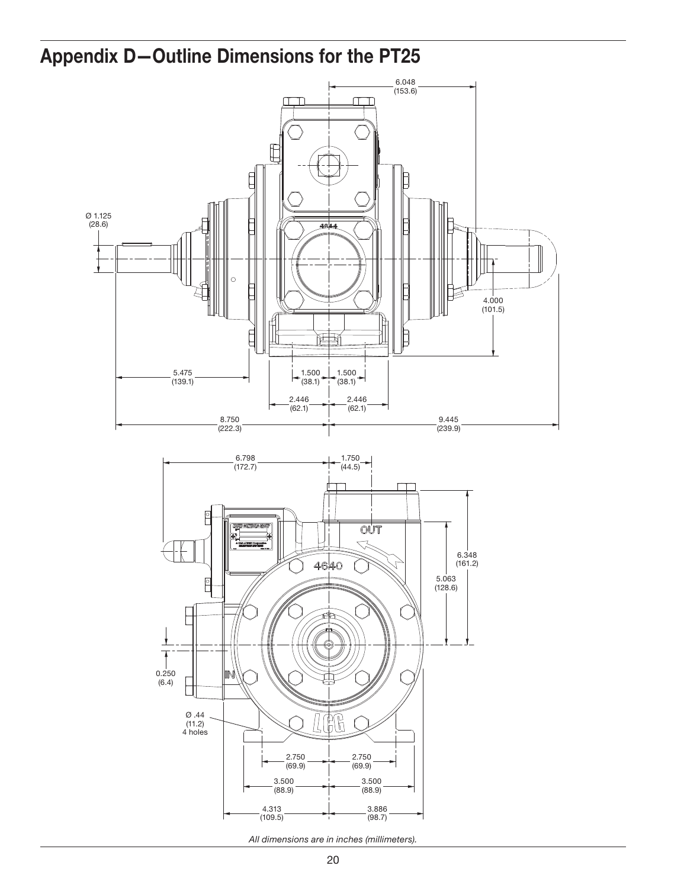## Appendix D—Outline Dimensions for the PT25

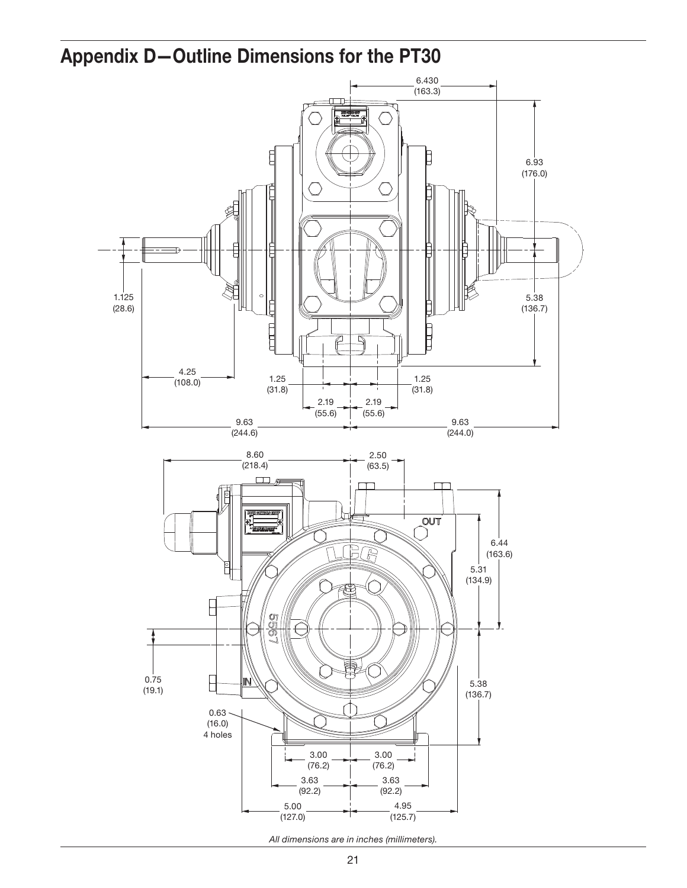## Appendix D—Outline Dimensions for the PT30

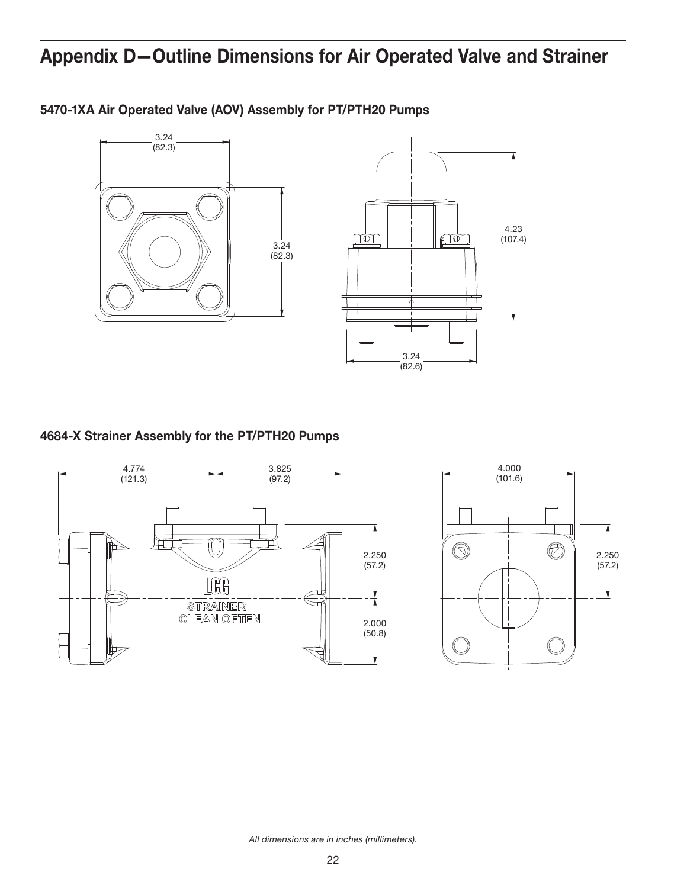## Appendix D—Outline Dimensions for Air Operated Valve and Strainer



5470-1XA Air Operated Valve (AOV) Assembly for PT/PTH20 Pumps

#### 4684-X Strainer Assembly for the PT/PTH20 Pumps



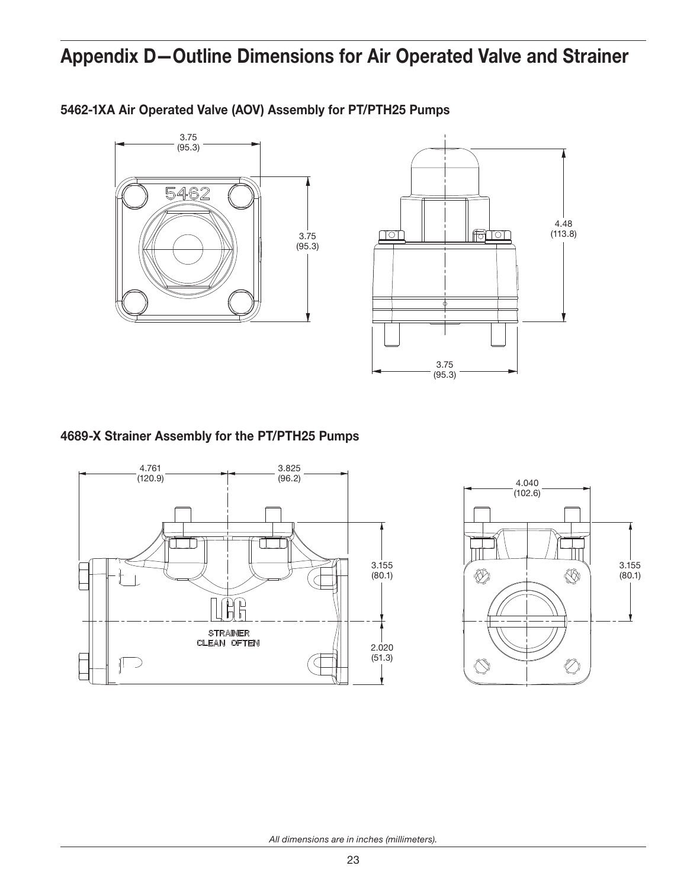## Appendix D—Outline Dimensions for Air Operated Valve and Strainer



5462-1XA Air Operated Valve (AOV) Assembly for PT/PTH25 Pumps

4.48 (113.8) <u>nol</u> <u>figher</u> ¢ 3.75 (95.3)

### 4689-X Strainer Assembly for the PT/PTH25 Pumps



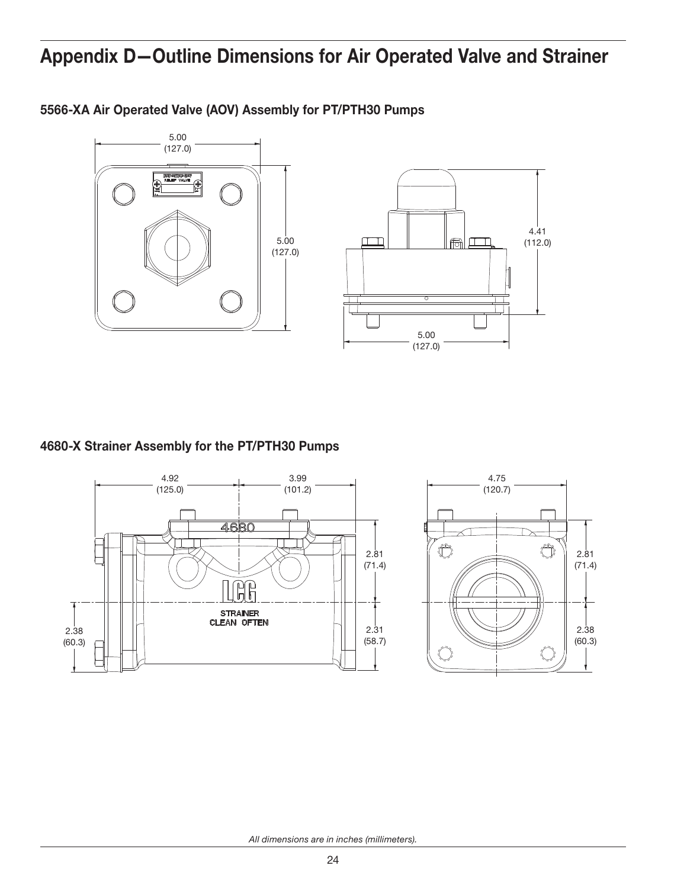## Appendix D—Outline Dimensions for Air Operated Valve and Strainer



5566-XA Air Operated Valve (AOV) Assembly for PT/PTH30 Pumps

4680-X Strainer Assembly for the PT/PTH30 Pumps